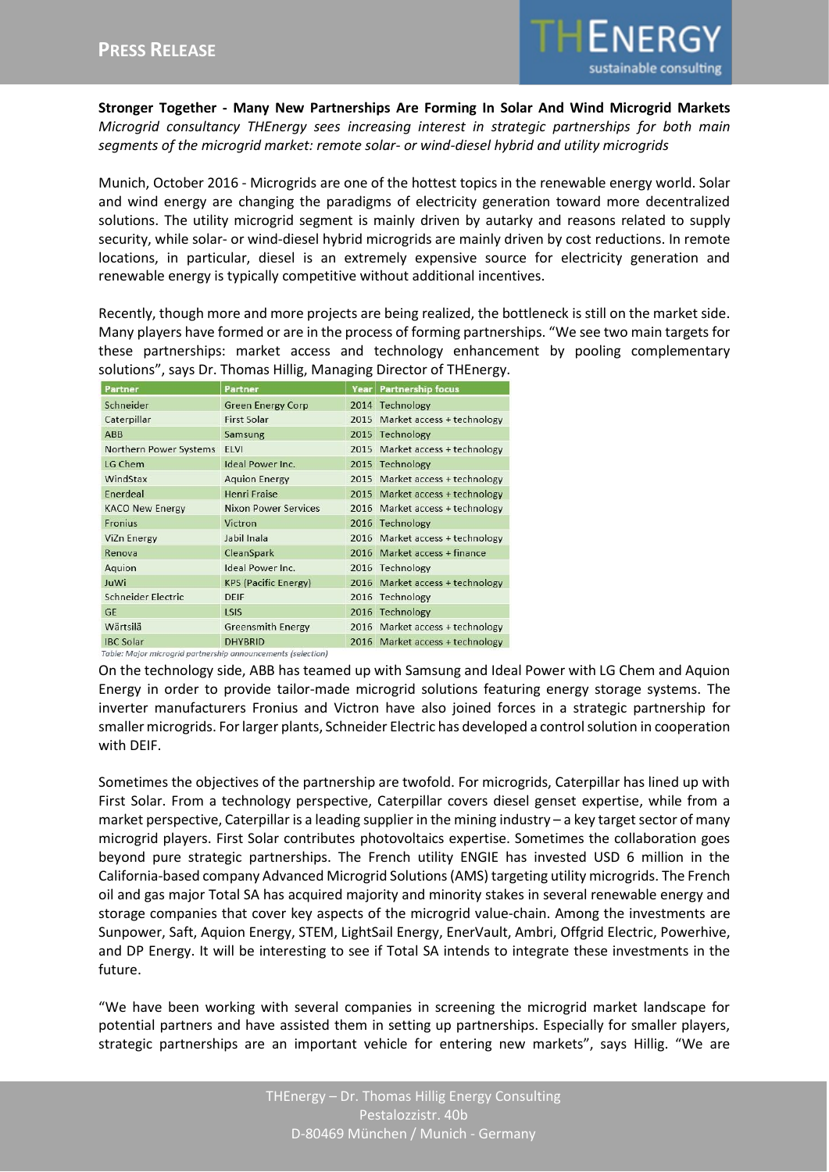

**Stronger Together - Many New Partnerships Are Forming In Solar And Wind Microgrid Markets** *Microgrid consultancy THEnergy sees increasing interest in strategic partnerships for both main segments of the microgrid market: remote solar- or wind-diesel hybrid and utility microgrids*

Munich, October 2016 - Microgrids are one of the hottest topics in the renewable energy world. Solar and wind energy are changing the paradigms of electricity generation toward more decentralized solutions. The utility microgrid segment is mainly driven by autarky and reasons related to supply security, while solar- or wind-diesel hybrid microgrids are mainly driven by cost reductions. In remote locations, in particular, diesel is an extremely expensive source for electricity generation and renewable energy is typically competitive without additional incentives.

Recently, though more and more projects are being realized, the bottleneck is still on the market side. Many players have formed or are in the process of forming partnerships. "We see two main targets for these partnerships: market access and technology enhancement by pooling complementary solutions", says Dr. Thomas Hillig, Managing Director of THEnergy.

| Partner                                                      | Partner                     |  | <b>Year   Partnership focus</b> |
|--------------------------------------------------------------|-----------------------------|--|---------------------------------|
| Schneider                                                    | <b>Green Energy Corp</b>    |  | 2014 Technology                 |
| Caterpillar                                                  | <b>First Solar</b>          |  | 2015 Market access + technology |
| <b>ABB</b>                                                   | Samsung                     |  | 2015 Technology                 |
| <b>Northern Power Systems</b>                                | <b>ELVI</b>                 |  | 2015 Market access + technology |
| LG Chem                                                      | Ideal Power Inc.            |  | 2015 Technology                 |
| WindStax                                                     | <b>Aquion Energy</b>        |  | 2015 Market access + technology |
| Enerdeal                                                     | <b>Henri Fraise</b>         |  | 2015 Market access + technology |
| <b>KACO New Energy</b>                                       | <b>Nixon Power Services</b> |  | 2016 Market access + technology |
| Fronius                                                      | Victron                     |  | 2016 Technology                 |
| ViZn Energy                                                  | Jabil Inala                 |  | 2016 Market access + technology |
| Renova                                                       | CleanSpark                  |  | 2016 Market access + finance    |
| Aquion                                                       | Ideal Power Inc.            |  | 2016 Technology                 |
| JuWi                                                         | <b>KPS (Pacific Energy)</b> |  | 2016 Market access + technology |
| Schneider Electric                                           | <b>DEIF</b>                 |  | 2016 Technology                 |
| <b>GE</b>                                                    | LSIS                        |  | 2016 Technology                 |
| Wärtsilä                                                     | <b>Greensmith Energy</b>    |  | 2016 Market access + technology |
| <b>IBC Solar</b>                                             | <b>DHYBRID</b>              |  | 2016 Market access + technology |
| Table: Major microgrid partnership announcements (selection) |                             |  |                                 |

On the technology side, ABB has teamed up with Samsung and Ideal Power with LG Chem and Aquion Energy in order to provide tailor-made microgrid solutions featuring energy storage systems. The inverter manufacturers Fronius and Victron have also joined forces in a strategic partnership for smaller microgrids. For larger plants, Schneider Electric has developed a control solution in cooperation with DEIF.

Sometimes the objectives of the partnership are twofold. For microgrids, Caterpillar has lined up with First Solar. From a technology perspective, Caterpillar covers diesel genset expertise, while from a market perspective, Caterpillar is a leading supplier in the mining industry – a key target sector of many microgrid players. First Solar contributes photovoltaics expertise. Sometimes the collaboration goes beyond pure strategic partnerships. The French utility ENGIE has invested USD 6 million in the California-based company Advanced Microgrid Solutions (AMS) targeting utility microgrids. The French oil and gas major Total SA has acquired majority and minority stakes in several renewable energy and storage companies that cover key aspects of the microgrid value-chain. Among the investments are Sunpower, Saft, Aquion Energy, STEM, LightSail Energy, EnerVault, Ambri, Offgrid Electric, Powerhive, and DP Energy. It will be interesting to see if Total SA intends to integrate these investments in the future.

"We have been working with several companies in screening the microgrid market landscape for potential partners and have assisted them in setting up partnerships. Especially for smaller players, strategic partnerships are an important vehicle for entering new markets", says Hillig. "We are